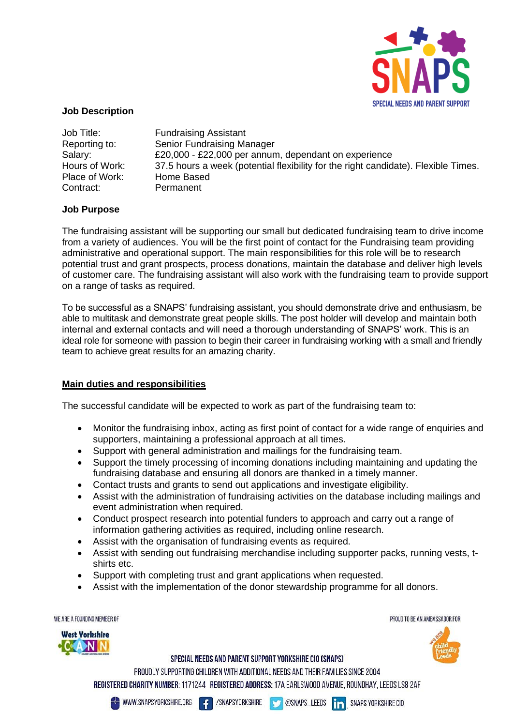

## **Job Description**

| Job Title:     | <b>Fundraising Assistant</b>                                                       |
|----------------|------------------------------------------------------------------------------------|
| Reporting to:  | <b>Senior Fundraising Manager</b>                                                  |
| Salary:        | £20,000 - £22,000 per annum, dependant on experience                               |
| Hours of Work: | 37.5 hours a week (potential flexibility for the right candidate). Flexible Times. |
| Place of Work: | Home Based                                                                         |
| Contract:      | Permanent                                                                          |

## **Job Purpose**

The fundraising assistant will be supporting our small but dedicated fundraising team to drive income from a variety of audiences. You will be the first point of contact for the Fundraising team providing administrative and operational support. The main responsibilities for this role will be to research potential trust and grant prospects, process donations, maintain the database and deliver high levels of customer care. The fundraising assistant will also work with the fundraising team to provide support on a range of tasks as required.

To be successful as a SNAPS' fundraising assistant, you should demonstrate drive and enthusiasm, be able to multitask and demonstrate great people skills. The post holder will develop and maintain both internal and external contacts and will need a thorough understanding of SNAPS' work. This is an ideal role for someone with passion to begin their career in fundraising working with a small and friendly team to achieve great results for an amazing charity.

## **Main duties and responsibilities**

The successful candidate will be expected to work as part of the fundraising team to:

- Monitor the fundraising inbox, acting as first point of contact for a wide range of enquiries and supporters, maintaining a professional approach at all times.
- Support with general administration and mailings for the fundraising team.
- Support the timely processing of incoming donations including maintaining and updating the fundraising database and ensuring all donors are thanked in a timely manner.
- Contact trusts and grants to send out applications and investigate eligibility.
- Assist with the administration of fundraising activities on the database including mailings and event administration when required.
- Conduct prospect research into potential funders to approach and carry out a range of information gathering activities as required, including online research.
- Assist with the organisation of fundraising events as required.
- Assist with sending out fundraising merchandise including supporter packs, running vests, tshirts etc.
- Support with completing trust and grant applications when requested.
- Assist with the implementation of the donor stewardship programme for all donors.

WE ARE A FOUNDING MEMBER OF



PROUD TO BE AN AMBASSADOR FOR



SPECIAL NEEDS AND PARENT SUPPORT YORKSHIRE CIO (SNAPS)

PROUDLY SUPPORTING CHILDREN WITH ADDITIONAL NEEDS AND THEIR FAMILIES SINCE 2004 REGISTERED CHARITY NUMBER: 1171244 REGISTERED ADDRESS: 17A EARLSWOOD AVENUE, ROUNDHAY, LEEDS LS8 2AF



4

/SNAPSYORKSHIRE **COSNAPS\_LEEDS** 

**in** SNAPS YORKSHIRE CIO